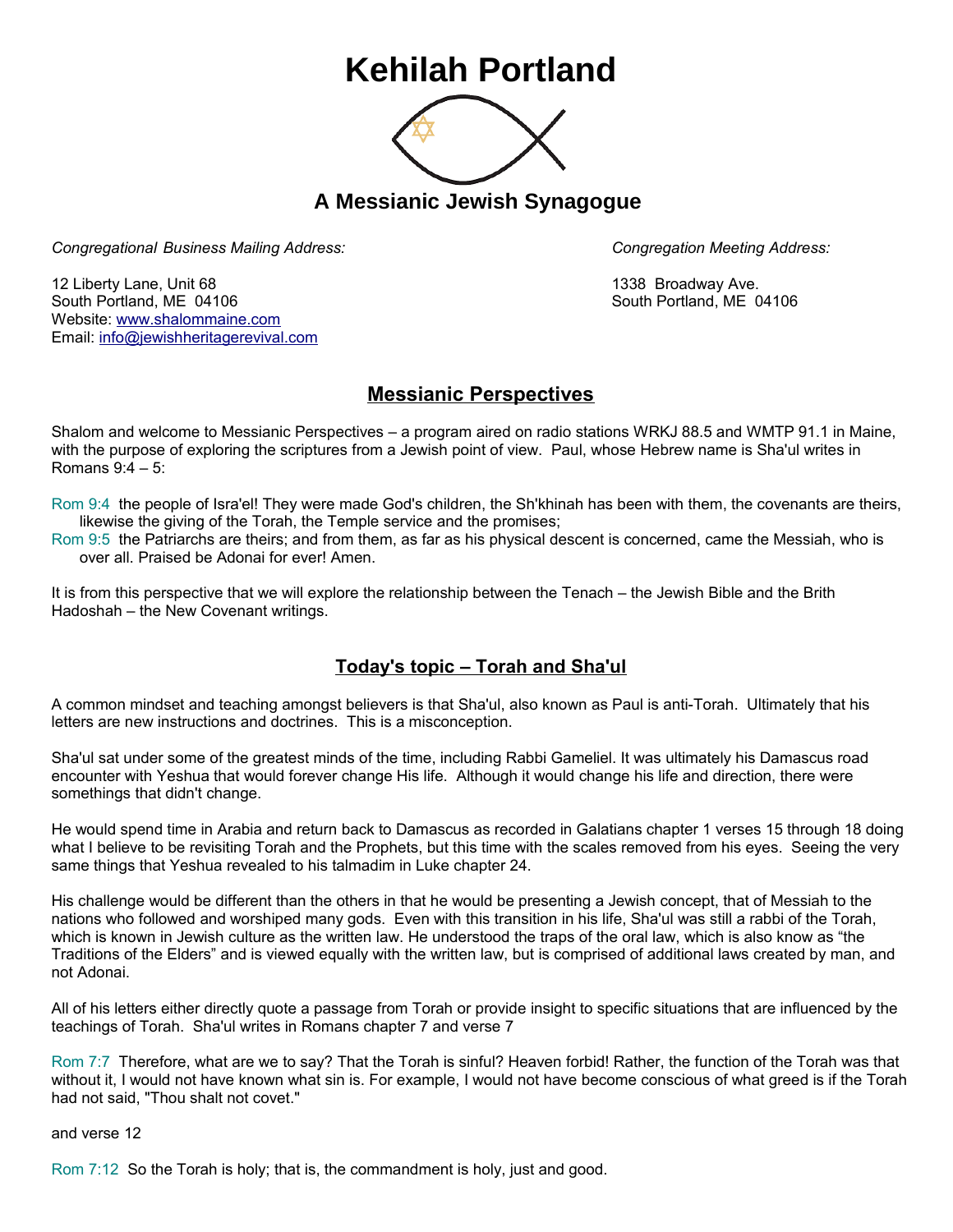## **Kehilah Portland**



**A Messianic Jewish Synagogue** 

*Congregational Business Mailing Address: Congregation Meeting Address:*

12 Liberty Lane, Unit 68 1338 Broadway Ave. South Portland, ME 04106 South Portland, ME 04106 Website: [www.shalommaine.com](http://www.shalommaine.com/) Email: [info@jewishheritagerevival.com](mailto:info@jewishheritagerevival.com) 

## **Messianic Perspectives**

Shalom and welcome to Messianic Perspectives – a program aired on radio stations WRKJ 88.5 and WMTP 91.1 in Maine, with the purpose of exploring the scriptures from a Jewish point of view. Paul, whose Hebrew name is Sha'ul writes in Romans 9:4 – 5:

Rom 9:4 the people of Isra'el! They were made God's children, the Sh'khinah has been with them, the covenants are theirs, likewise the giving of the Torah, the Temple service and the promises;

Rom 9:5 the Patriarchs are theirs; and from them, as far as his physical descent is concerned, came the Messiah, who is over all. Praised be Adonai for ever! Amen.

It is from this perspective that we will explore the relationship between the Tenach – the Jewish Bible and the Brith Hadoshah – the New Covenant writings.

## **Today's topic – Torah and Sha'ul**

A common mindset and teaching amongst believers is that Sha'ul, also known as Paul is anti-Torah. Ultimately that his letters are new instructions and doctrines. This is a misconception.

Sha'ul sat under some of the greatest minds of the time, including Rabbi Gameliel. It was ultimately his Damascus road encounter with Yeshua that would forever change His life. Although it would change his life and direction, there were somethings that didn't change.

He would spend time in Arabia and return back to Damascus as recorded in Galatians chapter 1 verses 15 through 18 doing what I believe to be revisiting Torah and the Prophets, but this time with the scales removed from his eyes. Seeing the very same things that Yeshua revealed to his talmadim in Luke chapter 24.

His challenge would be different than the others in that he would be presenting a Jewish concept, that of Messiah to the nations who followed and worshiped many gods. Even with this transition in his life, Sha'ul was still a rabbi of the Torah, which is known in Jewish culture as the written law. He understood the traps of the oral law, which is also know as "the Traditions of the Elders" and is viewed equally with the written law, but is comprised of additional laws created by man, and not Adonai.

All of his letters either directly quote a passage from Torah or provide insight to specific situations that are influenced by the teachings of Torah. Sha'ul writes in Romans chapter 7 and verse 7

Rom 7:7 Therefore, what are we to say? That the Torah is sinful? Heaven forbid! Rather, the function of the Torah was that without it, I would not have known what sin is. For example, I would not have become conscious of what greed is if the Torah had not said, "Thou shalt not covet."

and verse 12

Rom 7:12 So the Torah is holy; that is, the commandment is holy, just and good.